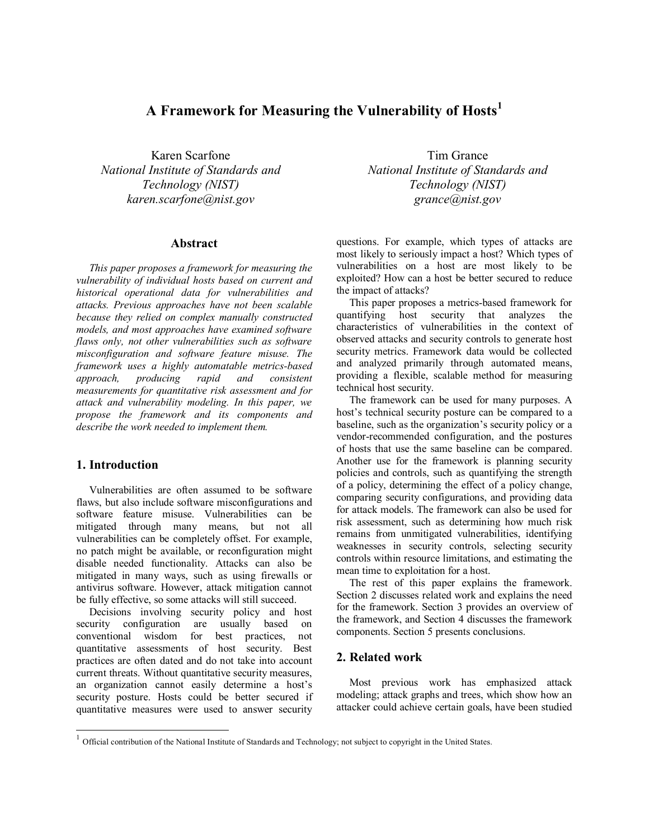# **A Framework for Measuring the Vulnerability of Hosts<sup>1</sup>**

Karen Scarfone *National Institute of Standards and Technology (NIST) karen.scarfone@nist.gov* 

#### **Abstract**

*This paper proposes a framework for measuring the vulnerability of individual hosts based on current and historical operational data for vulnerabilities and attacks. Previous approaches have not been scalable because they relied on complex manually constructed models, and most approaches have examined software flaws only, not other vulnerabilities such as software misconfiguration and software feature misuse. The framework uses a highly automatable metrics-based approach, producing rapid and consistent measurements for quantitative risk assessment and for attack and vulnerability modeling. In this paper, we propose the framework and its components and describe the work needed to implement them.* 

#### **1. Introduction**

 $\overline{a}$ 

Vulnerabilities are often assumed to be software flaws, but also include software misconfigurations and software feature misuse. Vulnerabilities can be mitigated through many means, but not all vulnerabilities can be completely offset. For example, no patch might be available, or reconfiguration might disable needed functionality. Attacks can also be mitigated in many ways, such as using firewalls or antivirus software. However, attack mitigation cannot be fully effective, so some attacks will still succeed.

Decisions involving security policy and host security configuration are usually based on conventional wisdom for best practices, not quantitative assessments of host security. Best practices are often dated and do not take into account current threats. Without quantitative security measures, an organization cannot easily determine a host's security posture. Hosts could be better secured if quantitative measures were used to answer security

Tim Grance *National Institute of Standards and Technology (NIST) grance@nist.gov*

questions. For example, which types of attacks are most likely to seriously impact a host? Which types of vulnerabilities on a host are most likely to be exploited? How can a host be better secured to reduce the impact of attacks?

This paper proposes a metrics-based framework for quantifying host security that analyzes the characteristics of vulnerabilities in the context of observed attacks and security controls to generate host security metrics. Framework data would be collected and analyzed primarily through automated means, providing a flexible, scalable method for measuring technical host security.

The framework can be used for many purposes. A host's technical security posture can be compared to a baseline, such as the organization's security policy or a vendor-recommended configuration, and the postures of hosts that use the same baseline can be compared. Another use for the framework is planning security policies and controls, such as quantifying the strength of a policy, determining the effect of a policy change, comparing security configurations, and providing data for attack models. The framework can also be used for risk assessment, such as determining how much risk remains from unmitigated vulnerabilities, identifying weaknesses in security controls, selecting security controls within resource limitations, and estimating the mean time to exploitation for a host.

The rest of this paper explains the framework. Section 2 discusses related work and explains the need for the framework. Section 3 provides an overview of the framework, and Section 4 discusses the framework components. Section 5 presents conclusions.

# **2. Related work**

Most previous work has emphasized attack modeling; attack graphs and trees, which show how an attacker could achieve certain goals, have been studied

 $1$  Official contribution of the National Institute of Standards and Technology; not subject to copyright in the United States.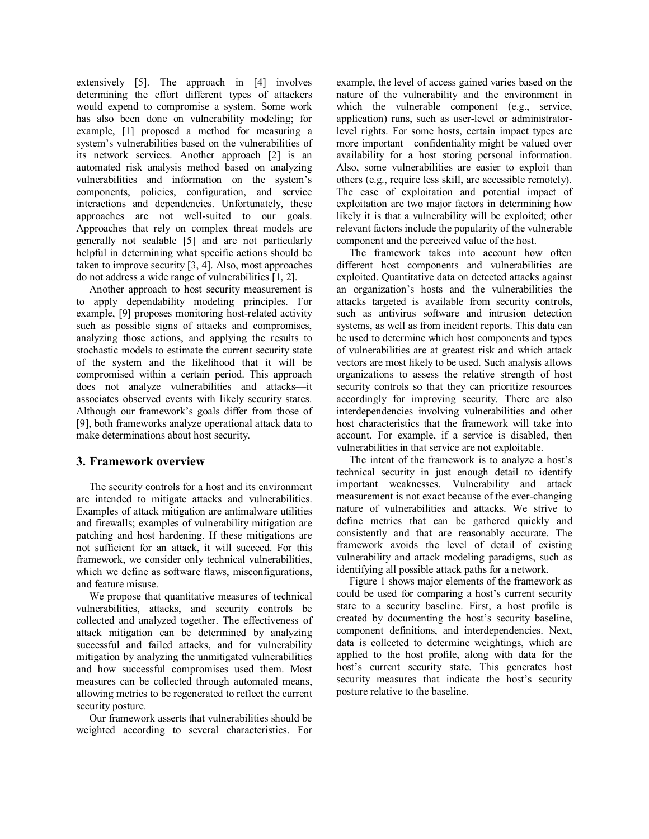extensively [5]. The approach in [4] involves determining the effort different types of attackers would expend to compromise a system. Some work has also been done on vulnerability modeling; for example, [1] proposed a method for measuring a system's vulnerabilities based on the vulnerabilities of its network services. Another approach [2] is an automated risk analysis method based on analyzing vulnerabilities and information on the system's components, policies, configuration, and service interactions and dependencies. Unfortunately, these approaches are not well-suited to our goals. Approaches that rely on complex threat models are generally not scalable [5] and are not particularly helpful in determining what specific actions should be taken to improve security [3, 4]. Also, most approaches do not address a wide range of vulnerabilities [1, 2].

Another approach to host security measurement is to apply dependability modeling principles. For example, [9] proposes monitoring host-related activity such as possible signs of attacks and compromises, analyzing those actions, and applying the results to stochastic models to estimate the current security state of the system and the likelihood that it will be compromised within a certain period. This approach does not analyze vulnerabilities and attacks—it associates observed events with likely security states. Although our framework's goals differ from those of [9], both frameworks analyze operational attack data to make determinations about host security.

# **3. Framework overview**

The security controls for a host and its environment are intended to mitigate attacks and vulnerabilities. Examples of attack mitigation are antimalware utilities and firewalls; examples of vulnerability mitigation are patching and host hardening. If these mitigations are not sufficient for an attack, it will succeed. For this framework, we consider only technical vulnerabilities, which we define as software flaws, misconfigurations, and feature misuse.

We propose that quantitative measures of technical vulnerabilities, attacks, and security controls be collected and analyzed together. The effectiveness of attack mitigation can be determined by analyzing successful and failed attacks, and for vulnerability mitigation by analyzing the unmitigated vulnerabilities and how successful compromises used them. Most measures can be collected through automated means, allowing metrics to be regenerated to reflect the current security posture.

Our framework asserts that vulnerabilities should be weighted according to several characteristics. For

example, the level of access gained varies based on the nature of the vulnerability and the environment in which the vulnerable component (e.g., service, application) runs, such as user-level or administratorlevel rights. For some hosts, certain impact types are more important—confidentiality might be valued over availability for a host storing personal information. Also, some vulnerabilities are easier to exploit than others (e.g., require less skill, are accessible remotely). The ease of exploitation and potential impact of exploitation are two major factors in determining how likely it is that a vulnerability will be exploited; other relevant factors include the popularity of the vulnerable component and the perceived value of the host.

The framework takes into account how often different host components and vulnerabilities are exploited. Quantitative data on detected attacks against an organization's hosts and the vulnerabilities the attacks targeted is available from security controls, such as antivirus software and intrusion detection systems, as well as from incident reports. This data can be used to determine which host components and types of vulnerabilities are at greatest risk and which attack vectors are most likely to be used. Such analysis allows organizations to assess the relative strength of host security controls so that they can prioritize resources accordingly for improving security. There are also interdependencies involving vulnerabilities and other host characteristics that the framework will take into account. For example, if a service is disabled, then vulnerabilities in that service are not exploitable.

The intent of the framework is to analyze a host's technical security in just enough detail to identify important weaknesses. Vulnerability and attack measurement is not exact because of the ever-changing nature of vulnerabilities and attacks. We strive to define metrics that can be gathered quickly and consistently and that are reasonably accurate. The framework avoids the level of detail of existing vulnerability and attack modeling paradigms, such as identifying all possible attack paths for a network.

Figure 1 shows major elements of the framework as could be used for comparing a host's current security state to a security baseline. First, a host profile is created by documenting the host's security baseline, component definitions, and interdependencies. Next, data is collected to determine weightings, which are applied to the host profile, along with data for the host's current security state. This generates host security measures that indicate the host's security posture relative to the baseline.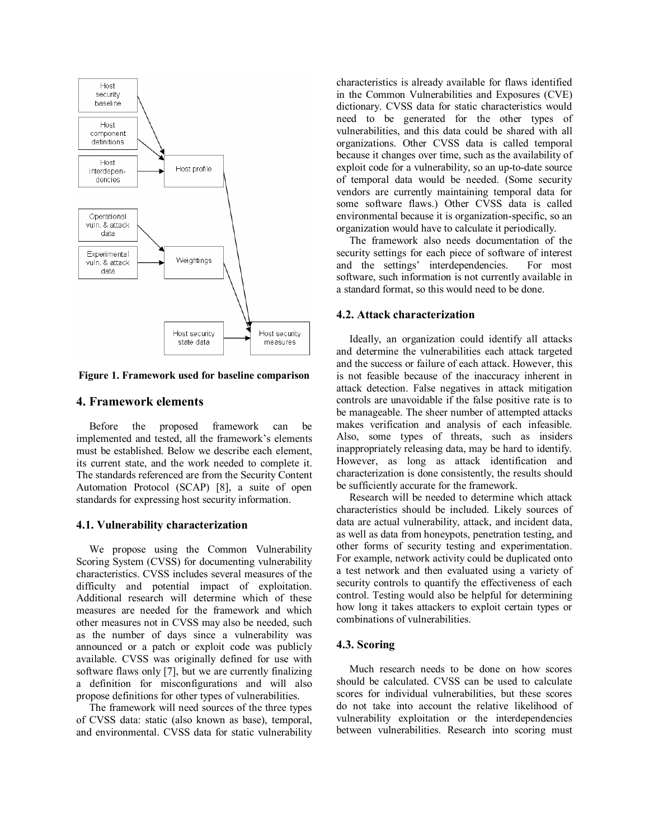

**Figure 1. Framework used for baseline comparison** 

## **4. Framework elements**

Before the proposed framework can be implemented and tested, all the framework's elements must be established. Below we describe each element, its current state, and the work needed to complete it. The standards referenced are from the Security Content Automation Protocol (SCAP) [8], a suite of open standards for expressing host security information.

#### **4.1. Vulnerability characterization**

We propose using the Common Vulnerability Scoring System (CVSS) for documenting vulnerability characteristics. CVSS includes several measures of the difficulty and potential impact of exploitation. Additional research will determine which of these measures are needed for the framework and which other measures not in CVSS may also be needed, such as the number of days since a vulnerability was announced or a patch or exploit code was publicly available. CVSS was originally defined for use with software flaws only [7], but we are currently finalizing a definition for misconfigurations and will also propose definitions for other types of vulnerabilities.

The framework will need sources of the three types of CVSS data: static (also known as base), temporal, and environmental. CVSS data for static vulnerability

characteristics is already available for flaws identified in the Common Vulnerabilities and Exposures (CVE) dictionary. CVSS data for static characteristics would need to be generated for the other types of vulnerabilities, and this data could be shared with all organizations. Other CVSS data is called temporal because it changes over time, such as the availability of exploit code for a vulnerability, so an up-to-date source of temporal data would be needed. (Some security vendors are currently maintaining temporal data for some software flaws.) Other CVSS data is called environmental because it is organization-specific, so an organization would have to calculate it periodically.

The framework also needs documentation of the security settings for each piece of software of interest and the settings' interdependencies. For most software, such information is not currently available in a standard format, so this would need to be done.

#### **4.2. Attack characterization**

Ideally, an organization could identify all attacks and determine the vulnerabilities each attack targeted and the success or failure of each attack. However, this is not feasible because of the inaccuracy inherent in attack detection. False negatives in attack mitigation controls are unavoidable if the false positive rate is to be manageable. The sheer number of attempted attacks makes verification and analysis of each infeasible. Also, some types of threats, such as insiders inappropriately releasing data, may be hard to identify. However, as long as attack identification and characterization is done consistently, the results should be sufficiently accurate for the framework.

Research will be needed to determine which attack characteristics should be included. Likely sources of data are actual vulnerability, attack, and incident data, as well as data from honeypots, penetration testing, and other forms of security testing and experimentation. For example, network activity could be duplicated onto a test network and then evaluated using a variety of security controls to quantify the effectiveness of each control. Testing would also be helpful for determining how long it takes attackers to exploit certain types or combinations of vulnerabilities.

# **4.3. Scoring**

Much research needs to be done on how scores should be calculated. CVSS can be used to calculate scores for individual vulnerabilities, but these scores do not take into account the relative likelihood of vulnerability exploitation or the interdependencies between vulnerabilities. Research into scoring must